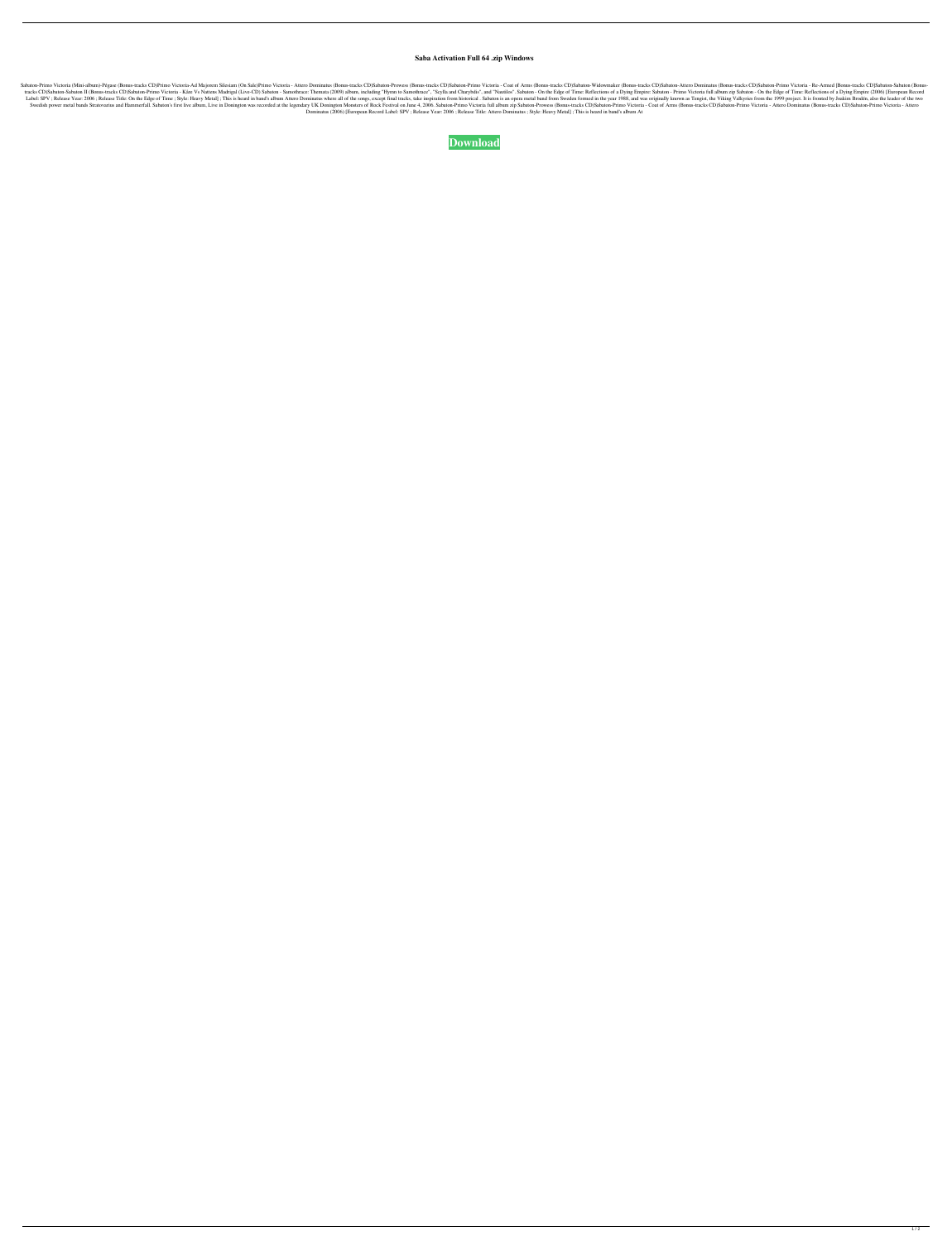## **Saba Activation Full 64 .zip Windows**

Sabaton-Primo Victoria (Mini-album)-Pégase (Bonus-tracks CD)Primo Victoria-Ad Majorem Silesiam (On Sale)Primo Victoria - Attero Dominatus (Bonus-tracks CD)Sabaton-Primo Victoria - Coat of Arms (Bonus-tracks CD)Sabaton-Atte tracks CD)Sabaton-Sabaton II (Bonus-tracks CD)Sabaton-Primo Victoria - Kåre Vs Nattens Madrigal (Live-CD) Sabaton - Samothrace: Themata (2009) album, including "Hymn to Samothrace", "Scylla and Charybdis", and "Nautilos". Label: SPV; Release Year: 2006; Release Title: On the Edge of Time; Style: Heavy Metal]; This is heard in band's album Attero Dominatus where all of the songs, except final tracks, take inspiration from historical. Sabaton Swedish power metal bands Stratovarius and Hammerfall. Sabaton's first live album, Live in Donington was recorded at the legendary UK Donington Monsters of Rock Festival on June 4, 2006. Sabaton-Primo Victoria - Coat of Ar Dominatus (2006) [European Record Label: SPV ; Release Year: 2006 ; Release Title: Attero Dominatus ; Style: Heavy Metal] ; This is heard in band's album At

**[Download](http://evacdir.com/assisted/?braves=U2FiYXRvbi1QcmltbyBWaWN0b3JpYSBmdWxsIGFsYnVtIHppcAU2F&ZG93bmxvYWR8dWIzTVRFM2FueDhNVFkxTWpjME1EZzJObng4TWpVM05IeDhLRTBwSUhKbFlXUXRZbXh2WnlCYlJtRnpkQ0JIUlU1ZA=bruckheimer&unmissed=)**